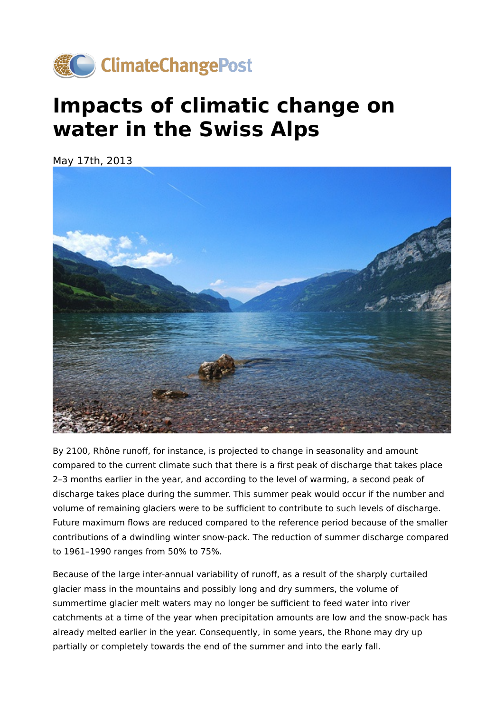

## **Impacts of climatic change on water in the Swiss Alps**

May 17th, 2013



By 2100, Rhône runoff, for instance, is projected to change in seasonality and amount compared to the current climate such that there is a first peak of discharge that takes place 2–3 months earlier in the year, and according to the level of warming, a second peak of discharge takes place during the summer. This summer peak would occur if the number and volume of remaining glaciers were to be sufficient to contribute to such levels of discharge. Future maximum flows are reduced compared to the reference period because of the smaller contributions of a dwindling winter snow-pack. The reduction of summer discharge compared to 1961–1990 ranges from 50% to 75%.

Because of the large inter-annual variability of runoff, as a result of the sharply curtailed glacier mass in the mountains and possibly long and dry summers, the volume of summertime glacier melt waters may no longer be sufficient to feed water into river catchments at a time of the year when precipitation amounts are low and the snow-pack has already melted earlier in the year. Consequently, in some years, the Rhone may dry up partially or completely towards the end of the summer and into the early fall.